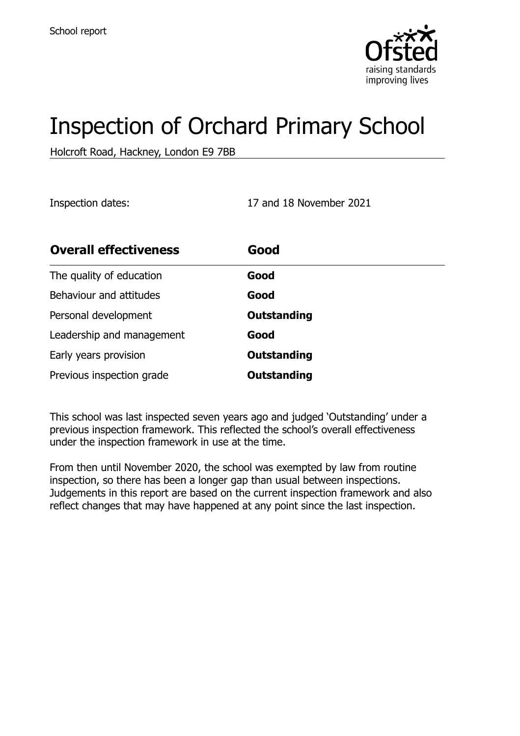

# Inspection of Orchard Primary School

Holcroft Road, Hackney, London E9 7BB

Inspection dates: 17 and 18 November 2021

| <b>Overall effectiveness</b> | Good               |
|------------------------------|--------------------|
| The quality of education     | Good               |
| Behaviour and attitudes      | Good               |
| Personal development         | <b>Outstanding</b> |
| Leadership and management    | Good               |
| Early years provision        | <b>Outstanding</b> |
| Previous inspection grade    | Outstanding        |

This school was last inspected seven years ago and judged 'Outstanding' under a previous inspection framework. This reflected the school's overall effectiveness under the inspection framework in use at the time.

From then until November 2020, the school was exempted by law from routine inspection, so there has been a longer gap than usual between inspections. Judgements in this report are based on the current inspection framework and also reflect changes that may have happened at any point since the last inspection.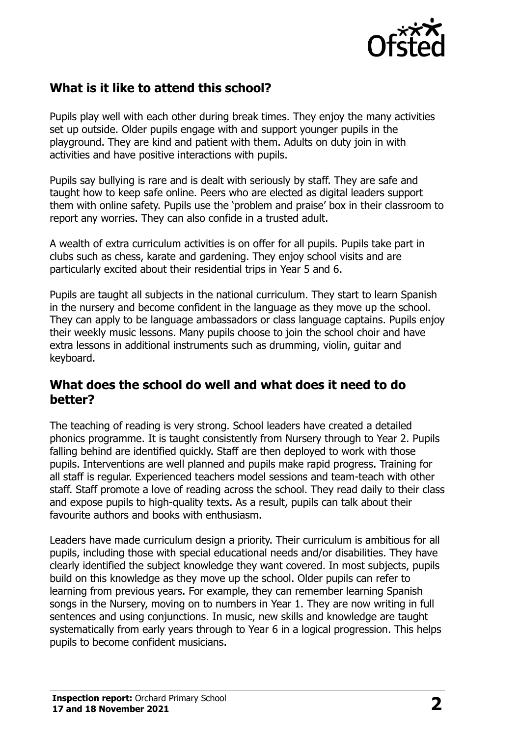

# **What is it like to attend this school?**

Pupils play well with each other during break times. They enjoy the many activities set up outside. Older pupils engage with and support younger pupils in the playground. They are kind and patient with them. Adults on duty join in with activities and have positive interactions with pupils.

Pupils say bullying is rare and is dealt with seriously by staff. They are safe and taught how to keep safe online. Peers who are elected as digital leaders support them with online safety. Pupils use the 'problem and praise' box in their classroom to report any worries. They can also confide in a trusted adult.

A wealth of extra curriculum activities is on offer for all pupils. Pupils take part in clubs such as chess, karate and gardening. They enjoy school visits and are particularly excited about their residential trips in Year 5 and 6.

Pupils are taught all subjects in the national curriculum. They start to learn Spanish in the nursery and become confident in the language as they move up the school. They can apply to be language ambassadors or class language captains. Pupils enjoy their weekly music lessons. Many pupils choose to join the school choir and have extra lessons in additional instruments such as drumming, violin, guitar and keyboard.

#### **What does the school do well and what does it need to do better?**

The teaching of reading is very strong. School leaders have created a detailed phonics programme. It is taught consistently from Nursery through to Year 2. Pupils falling behind are identified quickly. Staff are then deployed to work with those pupils. Interventions are well planned and pupils make rapid progress. Training for all staff is regular. Experienced teachers model sessions and team-teach with other staff. Staff promote a love of reading across the school. They read daily to their class and expose pupils to high-quality texts. As a result, pupils can talk about their favourite authors and books with enthusiasm.

Leaders have made curriculum design a priority. Their curriculum is ambitious for all pupils, including those with special educational needs and/or disabilities. They have clearly identified the subject knowledge they want covered. In most subjects, pupils build on this knowledge as they move up the school. Older pupils can refer to learning from previous years. For example, they can remember learning Spanish songs in the Nursery, moving on to numbers in Year 1. They are now writing in full sentences and using conjunctions. In music, new skills and knowledge are taught systematically from early years through to Year 6 in a logical progression. This helps pupils to become confident musicians.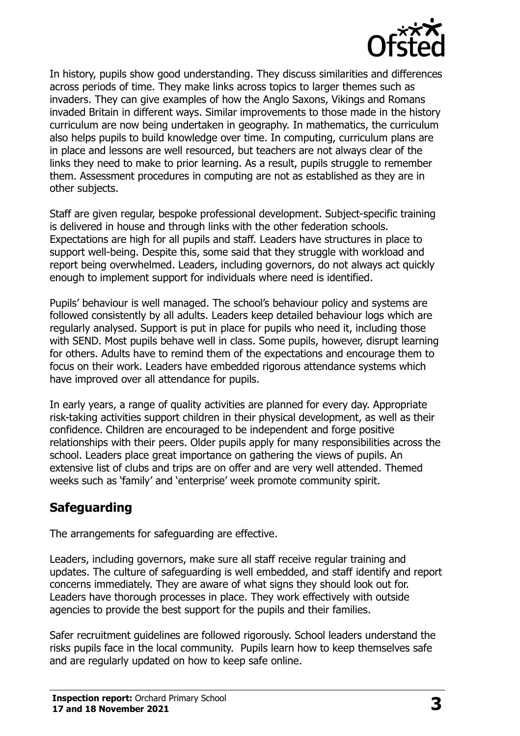

In history, pupils show good understanding. They discuss similarities and differences across periods of time. They make links across topics to larger themes such as invaders. They can give examples of how the Anglo Saxons, Vikings and Romans invaded Britain in different ways. Similar improvements to those made in the history curriculum are now being undertaken in geography. In mathematics, the curriculum also helps pupils to build knowledge over time. In computing, curriculum plans are in place and lessons are well resourced, but teachers are not always clear of the links they need to make to prior learning. As a result, pupils struggle to remember them. Assessment procedures in computing are not as established as they are in other subjects.

Staff are given regular, bespoke professional development. Subject-specific training is delivered in house and through links with the other federation schools. Expectations are high for all pupils and staff. Leaders have structures in place to support well-being. Despite this, some said that they struggle with workload and report being overwhelmed. Leaders, including governors, do not always act quickly enough to implement support for individuals where need is identified.

Pupils' behaviour is well managed. The school's behaviour policy and systems are followed consistently by all adults. Leaders keep detailed behaviour logs which are regularly analysed. Support is put in place for pupils who need it, including those with SEND. Most pupils behave well in class. Some pupils, however, disrupt learning for others. Adults have to remind them of the expectations and encourage them to focus on their work. Leaders have embedded rigorous attendance systems which have improved over all attendance for pupils.

In early years, a range of quality activities are planned for every day. Appropriate risk-taking activities support children in their physical development, as well as their confidence. Children are encouraged to be independent and forge positive relationships with their peers. Older pupils apply for many responsibilities across the school. Leaders place great importance on gathering the views of pupils. An extensive list of clubs and trips are on offer and are very well attended. Themed weeks such as 'family' and 'enterprise' week promote community spirit.

## **Safeguarding**

The arrangements for safeguarding are effective.

Leaders, including governors, make sure all staff receive regular training and updates. The culture of safeguarding is well embedded, and staff identify and report concerns immediately. They are aware of what signs they should look out for. Leaders have thorough processes in place. They work effectively with outside agencies to provide the best support for the pupils and their families.

Safer recruitment guidelines are followed rigorously. School leaders understand the risks pupils face in the local community. Pupils learn how to keep themselves safe and are regularly updated on how to keep safe online.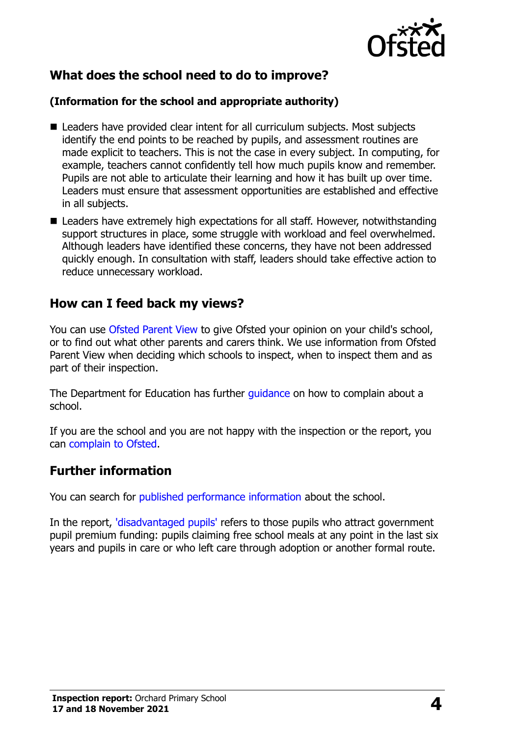

# **What does the school need to do to improve?**

#### **(Information for the school and appropriate authority)**

- Leaders have provided clear intent for all curriculum subjects. Most subjects identify the end points to be reached by pupils, and assessment routines are made explicit to teachers. This is not the case in every subject. In computing, for example, teachers cannot confidently tell how much pupils know and remember. Pupils are not able to articulate their learning and how it has built up over time. Leaders must ensure that assessment opportunities are established and effective in all subjects.
- Leaders have extremely high expectations for all staff. However, notwithstanding support structures in place, some struggle with workload and feel overwhelmed. Although leaders have identified these concerns, they have not been addressed quickly enough. In consultation with staff, leaders should take effective action to reduce unnecessary workload.

## **How can I feed back my views?**

You can use [Ofsted Parent View](http://parentview.ofsted.gov.uk/) to give Ofsted your opinion on your child's school, or to find out what other parents and carers think. We use information from Ofsted Parent View when deciding which schools to inspect, when to inspect them and as part of their inspection.

The Department for Education has further [guidance](http://www.gov.uk/complain-about-school) on how to complain about a school.

If you are the school and you are not happy with the inspection or the report, you can [complain to Ofsted.](http://www.gov.uk/complain-ofsted-report)

## **Further information**

You can search for [published performance information](http://www.compare-school-performance.service.gov.uk/) about the school.

In the report, ['disadvantaged pupils'](http://www.gov.uk/guidance/pupil-premium-information-for-schools-and-alternative-provision-settings) refers to those pupils who attract government pupil premium funding: pupils claiming free school meals at any point in the last six years and pupils in care or who left care through adoption or another formal route.

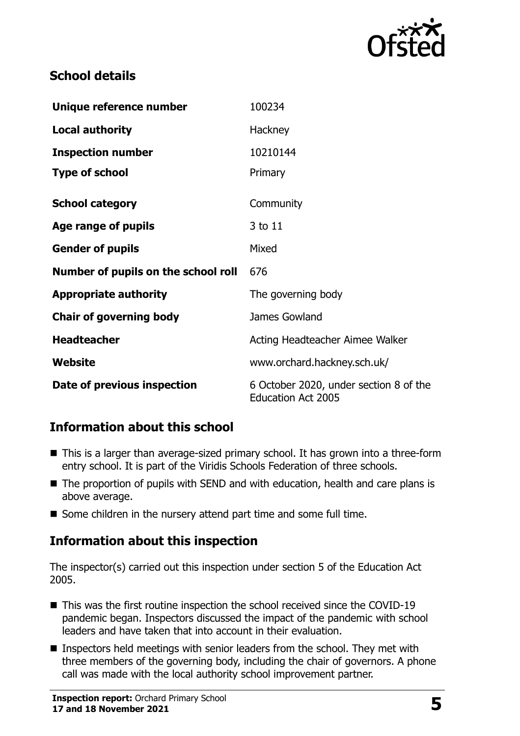

# **School details**

| Unique reference number             | 100234                                                              |
|-------------------------------------|---------------------------------------------------------------------|
| <b>Local authority</b>              | Hackney                                                             |
| <b>Inspection number</b>            | 10210144                                                            |
| <b>Type of school</b>               | Primary                                                             |
| <b>School category</b>              | Community                                                           |
| Age range of pupils                 | 3 to 11                                                             |
| <b>Gender of pupils</b>             | Mixed                                                               |
| Number of pupils on the school roll | 676                                                                 |
| <b>Appropriate authority</b>        | The governing body                                                  |
| <b>Chair of governing body</b>      | James Gowland                                                       |
| <b>Headteacher</b>                  | Acting Headteacher Aimee Walker                                     |
| Website                             | www.orchard.hackney.sch.uk/                                         |
| Date of previous inspection         | 6 October 2020, under section 8 of the<br><b>Education Act 2005</b> |

# **Information about this school**

- This is a larger than average-sized primary school. It has grown into a three-form entry school. It is part of the Viridis Schools Federation of three schools.
- The proportion of pupils with SEND and with education, health and care plans is above average.
- Some children in the nursery attend part time and some full time.

# **Information about this inspection**

The inspector(s) carried out this inspection under section 5 of the Education Act 2005.

- This was the first routine inspection the school received since the COVID-19 pandemic began. Inspectors discussed the impact of the pandemic with school leaders and have taken that into account in their evaluation.
- **Inspectors held meetings with senior leaders from the school. They met with** three members of the governing body, including the chair of governors. A phone call was made with the local authority school improvement partner.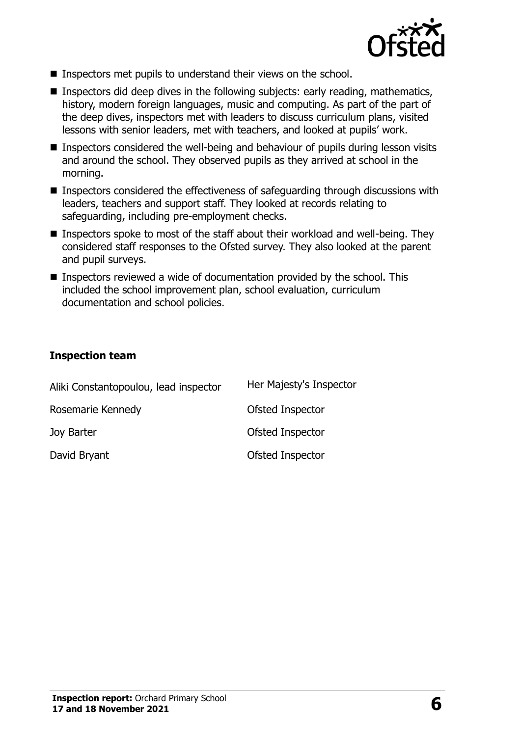

- **Inspectors met pupils to understand their views on the school.**
- **Inspectors did deep dives in the following subjects: early reading, mathematics,** history, modern foreign languages, music and computing. As part of the part of the deep dives, inspectors met with leaders to discuss curriculum plans, visited lessons with senior leaders, met with teachers, and looked at pupils' work.
- Inspectors considered the well-being and behaviour of pupils during lesson visits and around the school. They observed pupils as they arrived at school in the morning.
- Inspectors considered the effectiveness of safeguarding through discussions with leaders, teachers and support staff. They looked at records relating to safeguarding, including pre-employment checks.
- **Inspectors spoke to most of the staff about their workload and well-being. They** considered staff responses to the Ofsted survey. They also looked at the parent and pupil surveys.
- Inspectors reviewed a wide of documentation provided by the school. This included the school improvement plan, school evaluation, curriculum documentation and school policies.

#### **Inspection team**

| Aliki Constantopoulou, lead inspector | Her Majesty's Inspector |
|---------------------------------------|-------------------------|
| Rosemarie Kennedy                     | Ofsted Inspector        |
| Joy Barter                            | Ofsted Inspector        |
| David Bryant                          | Ofsted Inspector        |